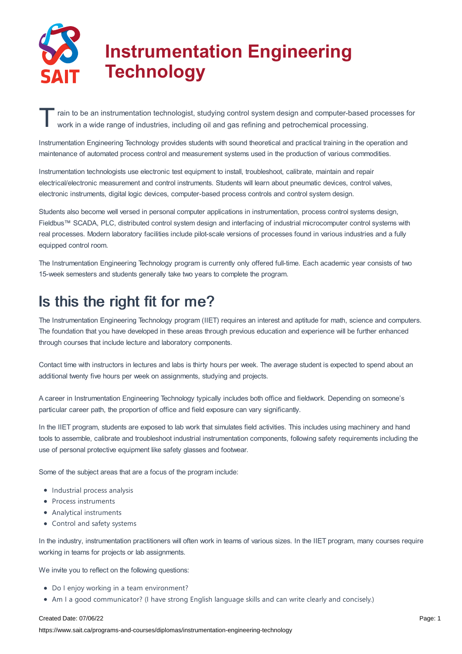

# **Instrumentation Engineering Technology**

T ain to be an instrumentation technologist, studying control system design and computer-based<br>work in a wide range of industries, including oil and gas refining and petrochemical processing. rain to be an instrumentation technologist, studying control system design and computer-based processes for

Instrumentation Engineering Technology provides students with sound theoretical and practical training in the operation and maintenance of automated process control and measurement systems used in the production of various commodities.

Instrumentation technologists use electronic test equipment to install, troubleshoot, calibrate, maintain and repair electrical/electronic measurement and control instruments. Students will learn about pneumatic devices, control valves, electronic instruments, digital logic devices, computer-based process controls and control system design.

Students also become well versed in personal computer applications in instrumentation, process control systems design, Fieldbus™ SCADA, PLC, distributed control system design and interfacing of industrial microcomputer control systems with real processes. Modern laboratory facilities include pilot-scale versions of processes found in various industries and a fully equipped control room.

The Instrumentation Engineering Technology program is currently only offered full-time. Each academic year consists of two 15-week semesters and students generally take two years to complete the program.

## Is this the right fit for me?

The Instrumentation Engineering Technology program (IIET) requires an interest and aptitude for math, science and computers. The foundation that you have developed in these areas through previous education and experience will be further enhanced through courses that include lecture and laboratory components.

Contact time with instructors in lectures and labs is thirty hours per week. The average student is expected to spend about an additional twenty five hours per week on assignments, studying and projects.

A career in Instrumentation Engineering Technology typically includes both office and fieldwork. Depending on someone's particular career path, the proportion of office and field exposure can vary significantly.

In the IIET program, students are exposed to lab work that simulates field activities. This includes using machinery and hand tools to assemble, calibrate and troubleshoot industrial instrumentation components, following safety requirements including the use of personal protective equipment like safety glasses and footwear.

Some of the subject areas that are a focus of the program include:

- Industrial process analysis
- Process instruments
- Analytical instruments
- Control and safety systems

In the industry, instrumentation practitioners will often work in teams of various sizes. In the IIET program, many courses require working in teams for projects or lab assignments.

We invite you to reflect on the following questions:

- Do I enjoy working in a team environment?
- Am I a good communicator? (I have strong English language skills and can write clearly and concisely.)

#### Created Date: 07/06/22

https://www.sait.ca/programs-and-courses/diplomas/instrumentation-engineering-technology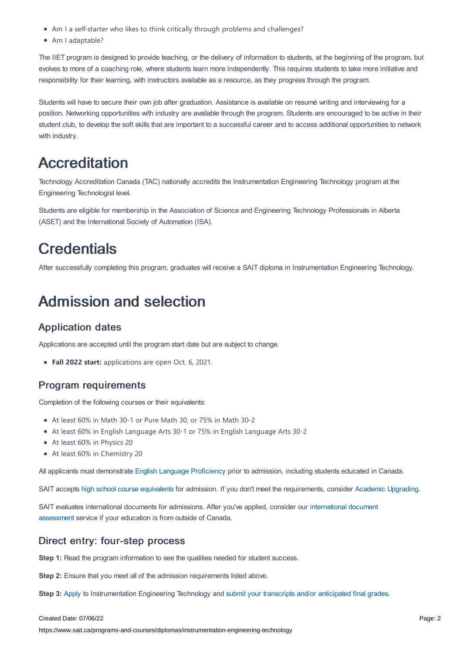- Am I a self-starter who likes to think critically through problems and challenges?
- Am I adaptable?

The IIET program is designed to provide teaching, or the delivery of information to students, at the beginning of the program, but evolves to more of a coaching role, where students learn more independently. This requires students to take more initiative and responsibility for their learning, with instructors available as a resource, as they progress through the program.

Students will have to secure their own job after graduation. Assistance is available on resumé writing and interviewing for a position. Networking opportunities with industry are available through the program. Students are encouraged to be active in their student club, to develop the soft skills that are important to a successful career and to access additional opportunities to network with industry.

## Accreditation

Technology Accreditation Canada (TAC) nationally accredits the Instrumentation Engineering Technology program at the Engineering Technologist level.

Students are eligible for membership in the Association of Science and Engineering Technology Professionals in Alberta (ASET) and the International Society of Automation (ISA).

## **Credentials**

After successfully completing this program, graduates will receive a SAIT diploma in Instrumentation Engineering Technology.

## Admission and selection

### Application dates

Applications are accepted until the program start date but are subject to change.

**Fall 2022 start:** applications are open Oct. 6, 2021.

### Program requirements

Completion of the following courses or their equivalents:

- At least 60% in Math 30-1 or Pure Math 30, or 75% in Math 30-2
- At least 60% in English Language Arts 30-1 or 75% in English Language Arts 30-2
- At least 60% in Physics 20
- At least 60% in Chemistry 20

All applicants must demonstrate English Language [Proficiency](https://www.sait.ca/admissions/before-you-apply/english-proficiency) prior to admission, including students educated in Canada.

SAIT accepts high school course [equivalents](https://www.sait.ca/admissions/before-you-apply/high-school-course-equivalencies) for admission. If you don't meet the requirements, consider Academic [Upgrading.](https://www.sait.ca/programs-and-courses/academic-upgrading)

SAIT evaluates international documents for admissions. After you've applied, consider our [international](https://www.sait.ca/admissions/after-you-apply/international-document-assessment) document assessment service if your education is from outside of Canada.

### Direct entry: four-step process

**Step 1:** Read the program information to see the qualities needed for student success.

**Step 2:** Ensure that you meet all of the admission requirements listed above.

**Step 3:** [Apply](https://www.sait.ca/admissions/apply) to Instrumentation Engineering Technology and submit your transcripts and/or [anticipated](https://www.sait.ca/admissions/after-you-apply/transcripts-and-supporting-documents) final grades.

#### Created Date: 07/06/22

https://www.sait.ca/programs-and-courses/diplomas/instrumentation-engineering-technology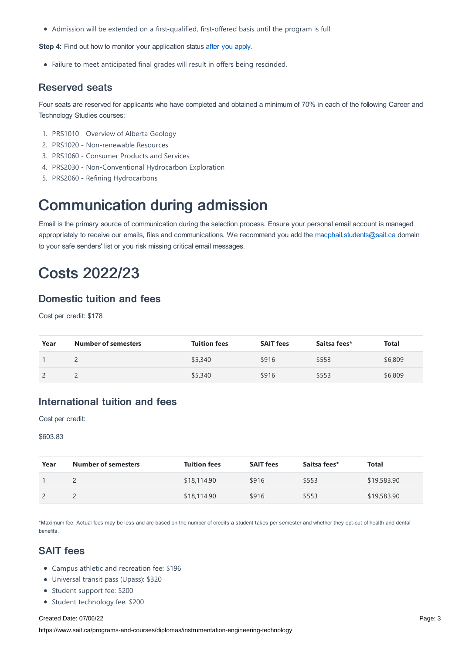Admission will be extended on a first-qualified, first-offered basis until the program is full.

**Step 4:** Find out how to monitor your application status after you [apply](https://www.sait.ca/admissions/after-you-apply/tracking-your-application).

Failure to meet anticipated final grades will result in offers being rescinded.

#### Reserved seats

Four seats are reserved for applicants who have completed and obtained a minimum of 70% in each of the following Career and Technology Studies courses:

- 1. PRS1010 Overview of Alberta Geology
- 2. PRS1020 Non-renewable Resources
- 3. PRS1060 Consumer Products and Services
- 4. PRS2030 Non-Conventional Hydrocarbon Exploration
- 5. PRS2060 Refining Hydrocarbons

### Communication during admission

Email is the primary source of communication during the selection process. Ensure your personal email account is managed appropriately to receive our emails, files and communications. We recommend you add the [macphail.students@sait.ca](https://sait.camailto:macphail.students@sait.ca) domain to your safe senders' list or you risk missing critical email messages.

## Costs 2022/23

### Domestic tuition and fees

Cost per credit: \$178

| Year | <b>Number of semesters</b> | <b>Tuition fees</b> | <b>SAIT fees</b> | Saitsa fees* | <b>Total</b> |
|------|----------------------------|---------------------|------------------|--------------|--------------|
|      |                            | \$5,340             | \$916            | \$553        | \$6,809      |
|      |                            | \$5,340             | \$916            | \$553        | \$6,809      |

### International tuition and fees

Cost per credit:

#### \$603.83

| Year | <b>Number of semesters</b> | <b>Tuition fees</b> | <b>SAIT fees</b> | Saitsa fees* | Total       |
|------|----------------------------|---------------------|------------------|--------------|-------------|
|      |                            | \$18,114.90         | \$916            | \$553        | \$19,583.90 |
|      |                            | \$18,114.90         | \$916            | \$553        | \$19,583.90 |

\*Maximum fee. Actual fees may be less and are based on the number of credits a student takes per semester and whether they opt-out of health and dental benefits.

#### SAIT fees

- Campus athletic and recreation fee: \$196
- Universal transit pass (Upass): \$320
- Student support fee: \$200
- Student technology fee: \$200

#### Created Date: 07/06/22